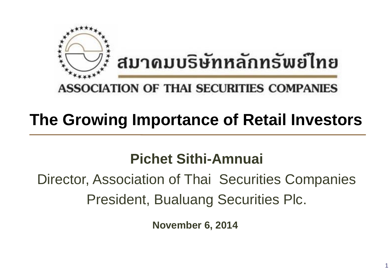

### **ASSOCIATION OF THAI SECURITIES COMPANIES**

# **The Growing Importance of Retail Investors**

## **Pichet Sithi-Amnuai**

# Director, Association of Thai Securities Companies President, Bualuang Securities Plc.

**November 6, 2014**

1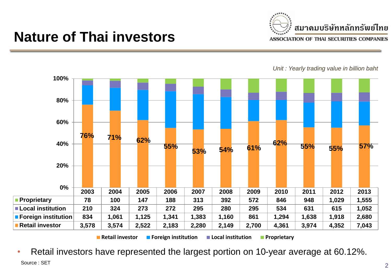

### **Nature of Thai investors**

*Unit : Yearly trading value in billion baht* 



• Retail investors have represented the largest portion on 10-year average at 60.12%. Source : SET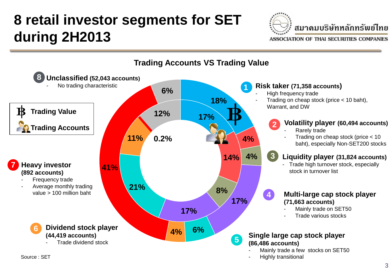# **8 retail investor segments for SET during 2H2013**



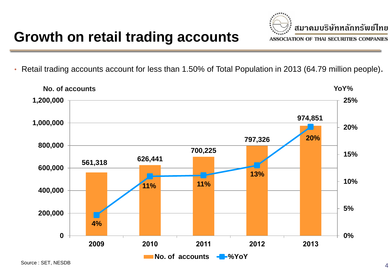

• Retail trading accounts account for less than 1.50% of Total Population in 2013 (64.79 million people).

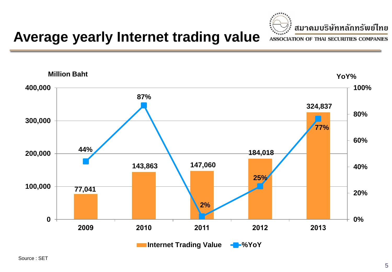

## **Average yearly Internet trading value**

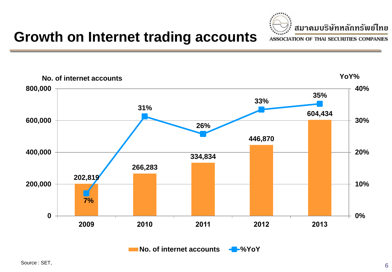

### **Growth on Internet trading accounts**

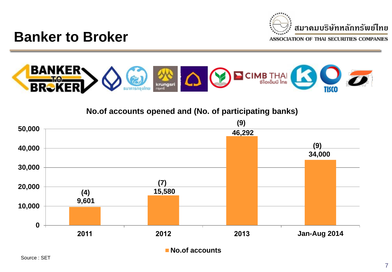

### **Banker to Broker**



**No.of accounts opened and (No. of participating banks)**

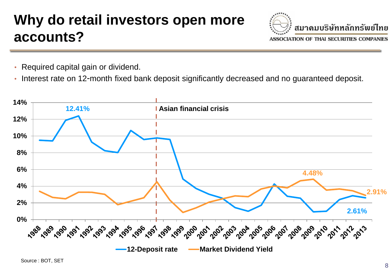## **Why do retail investors open more accounts?**



- Required capital gain or dividend.
- Interest rate on 12-month fixed bank deposit significantly decreased and no guaranteed deposit.

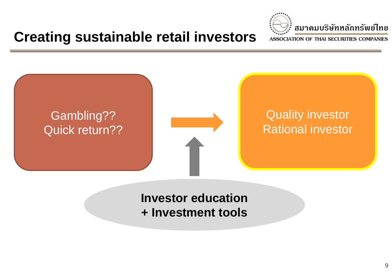**Creating sustainable retail investors**





### **Investor education + Investment tools**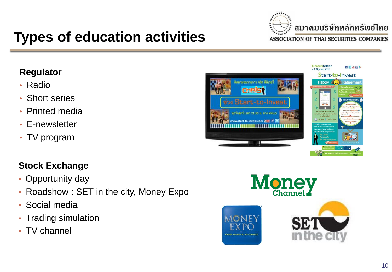

**E-Newsletter** 

## **Types of education activities**

#### **Regulator**

- Radio
- Short series
- Printed media
- E-newsletter
- TV program

#### **Stock Exchange**

- Opportunity day
- Roadshow : SET in the city, Money Expo
- Social media
- Trading simulation
- TV channel





1888>

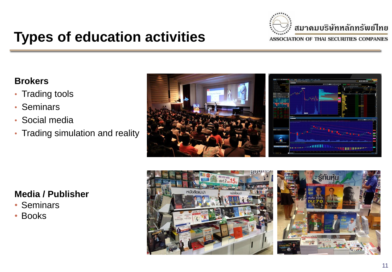

## **Types of education activities**

#### **Brokers**

- Trading tools
- Seminars
- Social media
- Trading simulation and reality



#### **Media / Publisher**

- Seminars
- Books